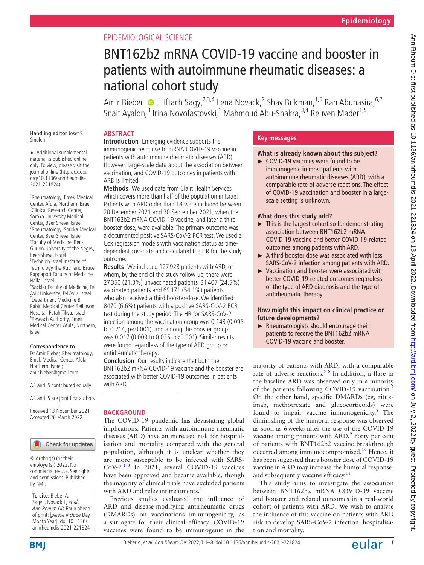## EPIDEMIOLOGICAL SCIENCE

# BNT162b2 mRNA COVID-19 vaccine and booster in patients with autoimmune rheumatic diseases: a national cohort study

AmirBieber  $\bigcirc$  ,<sup>1</sup> Iftach Sagy,<sup>2,3,4</sup> Lena Novack,<sup>2</sup> Shay Brikman,<sup>1,5</sup> Ran Abuhasira,<sup>6,7</sup> Snait Ayalon,<sup>8</sup> Irina Novofastovski,<sup>1</sup> Mahmoud Abu-Shakra,<sup>3,4</sup> Reuven Mader<sup>1,5</sup>

## **Handling editor** Josef S

► Additional supplemental material is published online only. To view, please visit the journal online ([http://dx.doi.](http://dx.doi.org/10.1136/annrheumdis-2021-221824) [org/10.1136/annrheumdis-](http://dx.doi.org/10.1136/annrheumdis-2021-221824)

Smolen

[2021-221824\)](http://dx.doi.org/10.1136/annrheumdis-2021-221824).

1 Rheumatology, Emek Medical Center, Afula, Northern, Israel <sup>2</sup> Clinical Research Center, Soroka University Medical Center, Beer Sheva, Israel 3 Rheumatology, Soroka Medical Center, Beer Sheva, Israel 4 Faculty of Medicine, Ben-Gurion University of the Negev, Beer-Sheva, Israel <sup>5</sup>Technion Israel Institute of Technology The Ruth and Bruce Rappaport Faculty of Medicine, Haifa, Israel 6 Sackler Faculty of Medicine, Tel Aviv University, Tel Aviv, Israel 7 Department Medicine B, Rabin Medical Center Beilinson Hospital, Petah Tikva, Israel <sup>8</sup>Reseach Authority, Emek Medical Center, Afula, Northern, Israel

#### **Correspondence to**

Dr Amir Bieber, Rheumatology, Emek Medical Center, Afula, Northern, Israel; amir.bieber@gmail.com

AB and IS contributed equally.

AB and IS are joint first authors.

Received 13 November 2021 Accepted 26 March 2022

#### Check for updates

© Author(s) (or their employer(s)) 2022. No commercial re-use. See rights and permissions. Published by BMJ.

**To cite:** Bieber A, Sagy I, Novack L, et al. Ann Rheum Dis Epub ahead of print: [please include Day Month Year]. doi:10.1136/ annrheumdis-2021-221824

# **ABSTRACT**

**Introduction** Emerging evidence supports the immunogenic response to mRNA COVID-19 vaccine in patients with autoimmune rheumatic diseases (ARD). However, large-scale data about the association between vaccination, and COVID-19 outcomes in patients with ARD is limited.

**Methods** We used data from Clalit Health Services, which covers more than half of the population in Israel. Patients with ARD older than 18 were included between 20 December 2021 and 30 September 2021, when the BNT162b2 mRNA COVID-19 vaccine, and later a third booster dose, were available. The primary outcome was a documented positive SARS-CoV-2 PCR test. We used a Cox regression models with vaccination status as timedependent covariate and calculated the HR for the study outcome.

**Results** We included 127 928 patients with ARD, of whom, by the end of the study follow-up, there were 27 350 (21.3%) unvaccinated patients, 31 407 (24.5%) vaccinated patients and 69 171 (54.1%) patients who also received a third booster-dose. We identified 8470 (6.6%) patients with a positive SARS-CoV-2 PCR test during the study period. The HR for SARS-CoV-2 infection among the vaccination group was 0.143 (0.095 to  $0.214$ ,  $p<0.001$ ), and among the booster group was 0.017 (0.009 to 0.035, p<0.001). Similar results were found regardless of the type of ARD group or antirheumatic therapy.

**Conclusion** Our results indicate that both the BNT162b2 mRNA COVID-19 vaccine and the booster are associated with better COVID-19 outcomes in patients with ARD.

## **BACKGROUND**

The COVID-19 pandemic has devastating global implications. Patients with autoimmune rheumatic diseases (ARD) have an increased risk for hospitalisation and mortality compared with the general population, although it is unclear whether they are more susceptible to be infected with SARS- $CoV-2.<sup>1-3</sup>$  In 2021, several COVID-19 vaccines have been approved and became available, though the majority of clinical trials have excluded patients with ARD and relevant treatments.<sup>4</sup>

Previous studies evaluated the influence of ARD and disease-modifying antirheumatic drugs (DMARDs) on vaccinations immunogenicity, as a surrogate for their clinical efficacy. COVID-19 vaccines were found to be immunogenic in the

## **Key messages**

## **What is already known about this subject?**

► COVID-19 vaccines were found to be immunogenic in most patients with autoimmune rheumatic diseases (ARD), with a comparable rate of adverse reactions. The effect of COVID-19 vaccination and booster in a largescale setting is unknown.

## **What does this study add?**

- $\blacktriangleright$  This is the largest cohort so far demonstrating association between BNT162b2 mRNA COVID-19 vaccine and better COVID-19-related outcomes among patients with ARD.
- ► A third booster dose was associated with less SARS-CoV-2 infection among patients with ARD.
- ► Vaccination and booster were associated with better COVID-19-related outcomes regardless of the type of ARD diagnosis and the type of antirheumatic therapy.

#### **How might this impact on clinical practice or future developments?**

► Rheumatologists should encourage their patients to receive the BNT162b2 mRNA COVID-19 vaccine and booster.

majority of patients with ARD, with a comparable rate of adverse reactions.<sup>5 6</sup> In addition, a flare in the baseline ARD was observed only in a minority of the patients following COVID-19 vaccination.<sup>[7](#page-6-3)</sup> On the other hand, specific DMARDs (eg, rituximab, methotrexate and glucocorticoids) were found to impair vaccine immunogenicity.<sup>[8](#page-7-0)</sup> The diminishing of the humoral response was observed as soon as 6weeks after the use of the COVID-19 vaccine among patients with ARD.<sup>9</sup> Forty per cent of patients with BNT162b2 vaccine breakthrough occurred among immunocompromised.<sup>10</sup> Hence, it has been suggested that a booster dose of COVID-19 vaccine in ARD may increase the humoral response, and subsequently vaccine efficacy.<sup>[11](#page-7-3)</sup>

This study aims to investigate the association between BNT162b2 mRNA COVID-19 vaccine and booster and related outcomes in a real-world cohort of patients with ARD. We wish to analyse the influence of this vaccine on patients with ARD risk to develop SARS-CoV-2 infection, hospitalisation and mortality.

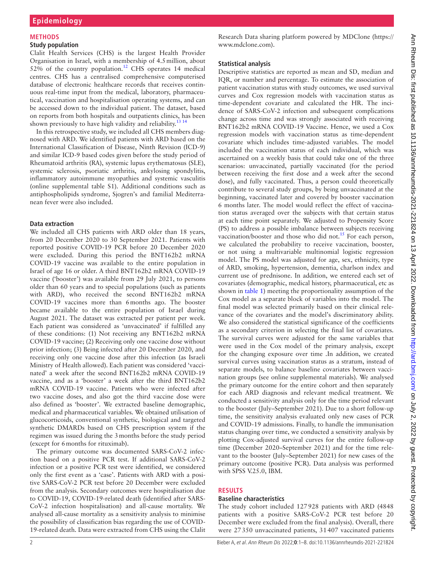## **METHODS**

#### **Study population**

Clalit Health Services (CHS) is the largest Health Provider Organisation in Israel, with a membership of 4.5million, about  $52\%$  of the country population.<sup>12</sup> CHS operates 14 medical centres. CHS has a centralised comprehensive computerised database of electronic healthcare records that receives continuous real-time input from the medical, laboratory, pharmaceutical, vaccination and hospitalisation operating systems, and can be accessed down to the individual patient. The dataset, based on reports from both hospitals and outpatients clinics, has been shown previously to have high validity and reliability.<sup>[13 14](#page-7-5)</sup>

In this retrospective study, we included all CHS members diagnosed with ARD. We identified patients with ARD based on the International Classification of Disease, Ninth Revision (ICD-9) and similar ICD-9 based codes given before the study period of Rheumatoid arthritis (RA), systemic lupus erythematosus (SLE), systemic sclerosis, psoriatic arthritis, ankylosing spondylitis, inflammatory autoimmune myopathies and systemic vasculitis ([online supplemental table S1\)](https://dx.doi.org/10.1136/annrheumdis-2021-221824). Additional conditions such as antiphospholipids syndrome, Sjogren's and familial Mediterranean fever were also included.

#### **Data extraction**

We included all CHS patients with ARD older than 18 years, from 20 December 2020 to 30 September 2021. Patients with reported positive COVID-19 PCR before 20 December 2020 were excluded. During this period the BNT162b2 mRNA COVID-19 vaccine was available to the entire population in Israel of age 16 or older. A third BNT162b2 mRNA COVID-19 vaccine ('booster') was available from 29 July 2021, to persons older than 60 years and to special populations (such as patients with ARD), who received the second BNT162b2 mRNA COVID-19 vaccines more than 6months ago. The booster became available to the entire population of Israel during August 2021. The dataset was extracted per patient per week. Each patient was considered as 'unvaccinated' if fulfilled any of these conditions: (1) Not receiving any BNT162b2 mRNA COVID-19 vaccine; (2) Receiving only one vaccine dose without prior infection; (3) Being infected after 20 December 2020, and receiving only one vaccine dose after this infection (as Israeli Ministry of Health allowed). Each patient was considered 'vaccinated' a week after the second BNT162b2 mRNA COVID-19 vaccine, and as a 'booster' a week after the third BNT162b2 mRNA COVID-19 vaccine. Patients who were infected after two vaccine doses, and also got the third vaccine dose were also defined as 'booster'. We extracted baseline demographic, medical and pharmaceutical variables. We obtained utilisation of glucocorticoids, conventional synthetic, biological and targeted synthetic DMARDs based on CHS prescription system if the regimen was issued during the 3months before the study period (except for 6months for rituximab).

The primary outcome was documented SARS-CoV-2 infection based on a positive PCR test. If additional SARS-CoV-2 infection or a positive PCR test were identified, we considered only the first event as a 'case'. Patients with ARD with a positive SARS-CoV-2 PCR test before 20 December were excluded from the analysis. Secondary outcomes were hospitalisation due to COVID-19, COVID-19-related death (identified after SARS-CoV-2 infection hospitalisation) and all-cause mortality. We analysed all-cause mortality as a sensitivity analysis to minimise the possibility of classification bias regarding the use of COVID-19-related death. Data were extracted from CHS using the Clalit

Research Data sharing platform powered by MDClone [\(https://](https://www.mdclone.com) [www.mdclone.com\)](https://www.mdclone.com).

#### **Statistical analysis**

Descriptive statistics are reported as mean and SD, median and IQR, or number and percentage. To estimate the association of patient vaccination status with study outcomes, we used survival curves and Cox regression models with vaccination status as time-dependent covariate and calculated the HR. The incidence of SARS-CoV-2 infection and subsequent complications change across time and was strongly associated with receiving BNT162b2 mRNA COVID-19 Vaccine. Hence, we used a Cox regression models with vaccination status as time-dependent covariate which includes time-adjusted variables. The model included the vaccination status of each individual, which was ascertained on a weekly basis that could take one of the three scenarios: unvaccinated, partially vaccinated (for the period between receiving the first dose and a week after the second dose), and fully vaccinated. Thus, a person could theoretically contribute to several study groups, by being unvaccinated at the beginning, vaccinated later and covered by booster vaccination 6 months later. The model would reflect the effect of vaccination status averaged over the subjects with that certain status at each time point separately. We adjusted to Propensity Score (PS) to address a possible imbalance between subjects receiving vaccination/booster and those who did not.<sup>[15](#page-7-6)</sup> For each person, we calculated the probability to receive vaccination, booster, or not using a multivariable multinomial logistic regression model. The PS model was adjusted for age, sex, ethnicity, type of ARD, smoking, hypertension, dementia, charlson index and current use of prednisone. In addition, we entered each set of covariates (demographic, medical history, pharmaceutical, etc as shown in [table](#page-2-0) 1) meeting the proportionality assumption of the Cox model as a separate block of variables into the model. The final model was selected primarily based on their clinical relevance of the covariates and the model's discriminatory ability. We also considered the statistical significance of the coefficients as a secondary criterion in selecting the final list of covariates. The survival curves were adjusted for the same variables that were used in the Cox model of the primary analysis, except for the changing exposure over time .In addition, we created survival curves using vaccination status as a stratum, instead of separate models, to balance baseline covariates between vaccination groups (see [online supplemental materials](https://dx.doi.org/10.1136/annrheumdis-2021-221824)). We analysed the primary outcome for the entire cohort and then separately for each ARD diagnosis and relevant medical treatment. We conducted a sensitivity analysis only for the time period relevant to the booster (July–September 2021). Due to a short follow-up time, the sensitivity analysis evaluated only new cases of PCR and COVID-19 admissions. Finally, to handle the immunisation status changing over time, we conducted a sensitivity analysis by plotting Cox-adjusted survival curves for the entire follow-up time (December 2020–September 2021) and for the time relevant to the booster (July–September 2021) for new cases of the primary outcome (positive PCR). Data analysis was performed with SPSS V.25.0, IBM.

#### **RESULTS**

#### **Baseline characteristics**

The study cohort included 127928 patients with ARD (4848 patients with a positive SARS-CoV-2 PCR test before 20 December were excluded from the final analysis). Overall, there were 27350 unvaccinated patients, 31407 vaccinated patients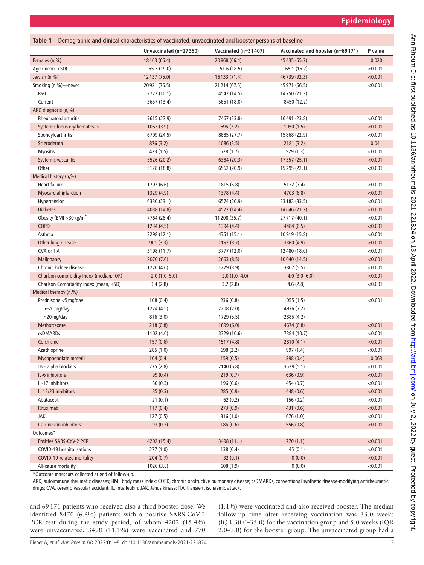<span id="page-2-0"></span>

| Demographic and clinical characteristics of vaccinated, unvaccinated and booster persons at baseline<br>Table 1 |                        |                      |                                  |         |  |  |  |
|-----------------------------------------------------------------------------------------------------------------|------------------------|----------------------|----------------------------------|---------|--|--|--|
|                                                                                                                 | Unvaccinated (n=27350) | Vaccinated (n=31407) | Vaccinated and booster (n=69171) | P value |  |  |  |
| Females (n,%)                                                                                                   | 18163 (66.4)           | 20 868 (66.4)        | 45 435 (65.7)                    | 0.020   |  |  |  |
| Age (mean, $\pm$ SD)                                                                                            | 55.3 (19.0)            | 51.6 (18.5)          | 65.1 (15.7)                      | < 0.001 |  |  |  |
| Jewish (n,%)                                                                                                    | 12 137 (75.0)          | 16 133 (71.4)        | 46 739 (92.3)                    | < 0.001 |  |  |  |
| Smoking (n,%)-never                                                                                             | 20921 (76.5)           | 21 214 (67.5)        | 45 971 (66.5)                    | < 0.001 |  |  |  |
| Past                                                                                                            | 2772 (10.1)            | 4542 (14.5)          | 14750 (21.3)                     |         |  |  |  |
| Current                                                                                                         | 3657 (13.4)            | 5651 (18.0)          | 8450 (12.2)                      |         |  |  |  |
| ARD diagnosis (n,%)                                                                                             |                        |                      |                                  |         |  |  |  |
| <b>Rheumatoid arthritis</b>                                                                                     | 7615 (27.9)            | 7467 (23.8)          | 16491 (23.8)                     | < 0.001 |  |  |  |
| Systemic lupus erythematosus                                                                                    | 1063(3.9)              | 695(2.2)             | 1050(1.5)                        | < 0.001 |  |  |  |
| Spondyloarthritis                                                                                               | 6709 (24.5)            | 8685 (27.7)          | 15 868 (22.9)                    | < 0.001 |  |  |  |
| Scleroderma                                                                                                     | 876(3.2)               | 1086(3.5)            | 2181(3.2)                        | 0.04    |  |  |  |
| <b>Myositis</b>                                                                                                 | 423 (1.5)              | 528 (1.7)            | 929 (1.3)                        | < 0.001 |  |  |  |
| Systemic vasculitis                                                                                             | 5526 (20.2)            | 6384 (20.3)          | 17357 (25.1)                     | < 0.001 |  |  |  |
| Other                                                                                                           | 5128 (18.8)            | 6562 (20.9)          | 15295 (22.1)                     | < 0.001 |  |  |  |
| Medical history (n,%)                                                                                           |                        |                      |                                  |         |  |  |  |
| Heart failure                                                                                                   | 1792 (6.6)             | 1815 (5.8)           | 5132 (7.4)                       | < 0.001 |  |  |  |
| Myocardial infarction                                                                                           | 1329 (4.9)             | 1378 (4.4)           | 4703 (6.8)                       | < 0.001 |  |  |  |
| Hypertension                                                                                                    | 6330 (23.1)            | 6574 (20.9)          | 23 182 (33.5)                    | < 0.001 |  |  |  |
| <b>Diabetes</b>                                                                                                 | 4038 (14.8)            | 4522 (14.4)          | 14646 (21.2)                     | < 0.001 |  |  |  |
| Obesity (BMI $>$ 30 kg/m <sup>2</sup> )                                                                         | 7764 (28.4)            | 11 208 (35.7)        | 27717 (40.1)                     | < 0.001 |  |  |  |
| COPD                                                                                                            | 1234(4.5)              | 1394 (4.4)           | 4484 (6.5)                       | < 0.001 |  |  |  |
| Asthma                                                                                                          | 3298 (12.1)            | 4751 (15.1)          | 10919 (15.8)                     | < 0.001 |  |  |  |
| Other lung disease                                                                                              | 901(3.3)               | 1152(3.7)            | 3360 (4.9)                       | < 0.001 |  |  |  |
| CVA or TIA                                                                                                      | 3198 (11.7)            | 3777 (12.0)          | 12 480 (18.0)                    | < 0.001 |  |  |  |
| Malignancy                                                                                                      | 2070 (7.6)             | 2663(8.5)            | 10040 (14.5)                     | < 0.001 |  |  |  |
| Chronic kidney disease                                                                                          | 1270 (4.6)             | 1229 (3.9)           | 3807 (5.5)                       | < 0.001 |  |  |  |
| Charlson comorbidity Index (median, IQR)                                                                        | $2.0(1.0-5.0)$         | $2.0(1.0-4.0)$       | $4.0(3.0-6.0)$                   | < 0.001 |  |  |  |
| Charlson Comorbidity Index (mean, $\pm$ SD)                                                                     | 3.4(2.8)               | 3.2(2.8)             | 4.6(2.8)                         | < 0.001 |  |  |  |
| Medical therapy (n,%)                                                                                           |                        |                      |                                  |         |  |  |  |
| Prednisone <5 mg/day                                                                                            | 108(0.4)               | 236 (0.8)            | 1055 (1.5)                       | < 0.001 |  |  |  |
| 5-20 mg/day                                                                                                     | 1224 (4.5)             | 2208 (7.0)           | 4976 (7.2)                       |         |  |  |  |
| >20 mg/day                                                                                                      | 816(3.0)               | 1729 (5.5)           | 2885 (4.2)                       |         |  |  |  |
| Methotrexate                                                                                                    | 218(0.8)               | 1899 (6.0)           | 4674 (6.8)                       | < 0.001 |  |  |  |
| csDMARDs                                                                                                        | 1102 (4.0)             | 3329 (10.6)          | 7384 (10.7)                      | < 0.001 |  |  |  |
| Colchicine                                                                                                      | 157(0.6)               | 1517 (4.8)           | 2810 (4.1)                       | < 0.001 |  |  |  |
| Azathioprine                                                                                                    | 285 (1.0)              | 698 (2.2)            | 997 (1.4)                        | < 0.001 |  |  |  |
| Mycophenolate mofetil                                                                                           | 104 (0.4               | 159(0.5)             | 298 (0.4)                        | 0.063   |  |  |  |
| TNF alpha blockers                                                                                              | 775 (2.8)              | 2140 (6.8)           | 3529 (5.1)                       | < 0.001 |  |  |  |
| IL-6 inhibitors                                                                                                 | 99 (0.4)               | 219(0.7)             | 636 (0.9)                        | < 0.001 |  |  |  |
| IL-17 inhibitors                                                                                                | 80(0.3)                | 196(0.6)             | 454 (0.7)                        | < 0.001 |  |  |  |
| IL 12/23 inhibitors                                                                                             | 85(0.3)                | 285 (0.9)            | 448 (0.6)                        | < 0.001 |  |  |  |
| Abatacept                                                                                                       | 21(0.1)                | 62(0.2)              | 156(0.2)                         | < 0.001 |  |  |  |
| Rituximab                                                                                                       | 117(0.4)               | 273(0.9)             | 431 (0.6)                        | < 0.001 |  |  |  |
| JAK                                                                                                             | 127(0.5)               | 316 (1.0)            | 676 (1.0)                        | < 0.001 |  |  |  |
| Calcineurin inhibitors                                                                                          | 93(0.3)                | 186(0.6)             | 556 (0.8)                        | < 0.001 |  |  |  |
| Outcomes*                                                                                                       |                        |                      |                                  |         |  |  |  |
| Positive SARS-CoV-2 PCR                                                                                         | 4202 (15.4)            | 3498 (11.1)          | 770(1.1)                         | < 0.001 |  |  |  |
| COVID-19 hospitalisations                                                                                       | 277(1.0)               | 138(0.4)             | 45(0.1)                          | < 0.001 |  |  |  |
| COVID-19-related mortality                                                                                      | 204(0.7)               | 32(0.1)              | 0(0.0)                           | < 0.001 |  |  |  |
| All-cause mortality                                                                                             | 1026 (3.8)             | 608 (1.9)            | 0(0.0)                           | < 0.001 |  |  |  |
|                                                                                                                 |                        |                      |                                  |         |  |  |  |

\*Outcome masseurs collected at end of follow-up.

ARD, autoimmune rheumatic diseases; BMI, body mass index; COPD, chronic obstructive pulmonary disease; csDMARDs, conventional synthetic disease-modifying antirheumatic drugs; CVA, cerebro vascular accident; IL, interleukin; JAK, Janus kinase; TIA, transient ischaemic attack.

and 69171 patients who received also a third booster dose. We identified 8470 (6.6%) patients with a positive SARS-CoV-2 PCR test during the study period, of whom 4202 (15.4%) were unvaccinated, 3498 (11.1%) were vaccinated and 770

(1.1%) were vaccinated and also received booster. The median follow-up time after receiving vaccination was 33.0 weeks (IQR 30.0–35.0) for the vaccination group and 5.0 weeks (IQR 2.0–7.0) for the booster group. The unvaccinated group had a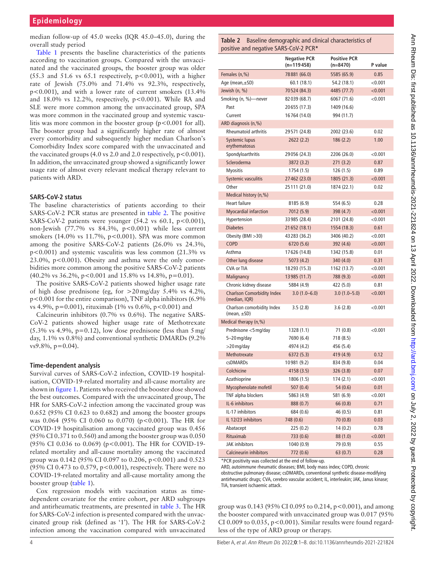median follow-up of 45.0 weeks (IQR 45.0–45.0), during the overall study period

[Table](#page-2-0) 1 presents the baseline characteristics of the patients according to vaccination groups. Compared with the unvaccinated and the vaccinated groups, the booster group was older (55.3 and 51.6 vs  $65.1$  respectively,  $p < 0.001$ ), with a higher rate of Jewish (75.0% and 71.4% vs 92.3%, respectively, p<0.001), and with a lower rate of current smokers (13.4% and  $18.0\%$  vs  $12.2\%$ , respectively,  $p<0.001$ ). While RA and SLE were more common among the unvaccinated group, SPA was more common in the vaccinated group and systemic vasculitis was more common in the booster group ( $p < 0.001$  for all). The booster group had a significantly higher rate of almost every comorbidity and subsequently higher median Charlson's Comorbidity Index score compared with the unvaccinated and the vaccinated groups  $(4.0 \text{ vs } 2.0 \text{ and } 2.0 \text{ respectively, } p < 0.001)$ . In addition, the unvaccinated group showed a significantly lower usage rate of almost every relevant medical therapy relevant to patients with ARD.

#### **SARS-CoV-2 status**

The baseline characteristics of patients according to their SARS-CoV-2 PCR status are presented in [table](#page-3-0) 2. The positive SARS-CoV-2 patients were younger  $(54.2 \text{ vs } 60.1, \text{ p} < 0.001)$ , non-Jewish (77.7% vs 84.3%, p<0.001) while less current smokers (14.0% vs 11.7%, p<0.001). SPA was more common among the positive SARS-CoV-2 patients (26.0% vs 24.3%, p<0.001) and systemic vasculitis was less common (21.3% vs 23.0%,  $p < 0.001$ ). Obesity and asthma were the only comorbidities more common among the positive SARS-CoV-2 patients  $(40.2\% \text{ vs } 36.2\%, \text{ p} < 0.001 \text{ and } 15.8\% \text{ vs } 14.8\%, \text{ p} = 0.01).$ 

The positive SARS-CoV-2 patients showed higher usage rate of high dose prednisone (eg, for >20mg/day 5.4% vs 4.2%, p<0.001 for the entire comparison), TNF alpha inhibitors (6.9% vs 4.9%, p=0.001), rituximab (1% vs 0.6%, p<0.001) and

Calcineurin inhibitors (0.7% vs 0.6%). The negative SARS-CoV-2 patients showed higher usage rate of Methotrexate  $(5.3\% \text{ vs } 4.9\%, \text{ p}=0.12)$ , low dose prednisone (less than  $5 \text{ mg}/$ ) day, 1.1% vs 0.8%) and conventional synthetic DMARDs (9.2%  $vs9.8\%, p=0.04$ ).

## **Time-dependent analysis**

Survival curves of SARS-CoV-2 infection, COVID-19 hospitalisation, COVID-19-related mortality and all-cause mortality are shown in [figure](#page-4-0) 1. Patients who received the booster dose showed the best outcomes. Compared with the unvaccinated group, The HR for SARS-CoV-2 infection among the vaccinated group was 0.652 (95% CI 0.623 to 0.682) and among the booster groups was 0.064 (95% CI 0.060 to 0.070) (p<0.001). The HR for COVID-19 hospitalisation among vaccinated group was 0.456 (95% CI 0.371 to 0.560) and among the booster group was 0.050 (95% CI 0.036 to 0.069) (p<0.001). The HR for COVID-19 related mortality and all-cause mortality among the vaccinated group was 0.142 (95% CI 0.097 to 0.206, p<0.001) and 0.523 (95% CI 0.473 to 0.579, p<0.001), respectively. There were no COVID-19-related mortality and all-cause mortality among the booster group ([table](#page-2-0) 1).

Cox regression models with vaccination status as timedependent covariate for the entire cohort, per ARD subgroups and antirheumatic treatments, are presented in [table](#page-4-1) 3. The HR for SARS-CoV-2 infection is presented compared with the unvaccinated group risk (defined as '1'). The HR for SARS-CoV-2 infection among the vaccination compared with unvaccinated

#### <span id="page-3-0"></span>**Table 2** Baseline demographic and clinical characteristics of positive and negative SARS-CoV-2 PCR**\***

|                                                    | <b>Negative PCR</b><br>(n=119458) | <b>Positive PCR</b><br>$(n=8470)$ | P value |
|----------------------------------------------------|-----------------------------------|-----------------------------------|---------|
| Females (n,%)                                      | 78 881 (66.0)                     | 5585 (65.9)                       | 0.85    |
| Age (mean, $\pm$ SD)                               | 60.1 (18.1)                       | 54.2 (18.1)                       | < 0.001 |
| Jewish (n, %)                                      | 70524 (84.3)                      | 4485 (77.7)                       | < 0.001 |
| Smoking (n, %)—never                               | 82 039 (68.7)                     | 6067 (71.6)                       | < 0.001 |
| Past                                               | 20655 (17.3)                      | 1409 (16.6)                       |         |
| Current                                            | 16764 (14.0)                      | 994 (11.7)                        |         |
| ARD diagnosis (n,%)                                |                                   |                                   |         |
| <b>Rheumatoid arthritis</b>                        | 29571 (24.8)                      | 2002 (23.6)                       | 0.02    |
| Systemic lupus<br>erythematosus                    | 2622 (2.2)                        | 186(2.2)                          | 1.00    |
| Spondyloarthritis                                  | 29 056 (24.3)                     | 2206 (26.0)                       | < 0.001 |
| Scleroderma                                        | 3872 (3.2)                        | 271(3.2)                          | 0.87    |
| <b>Myositis</b>                                    | 1754 (1.5)                        | 126(1.5)                          | 0.89    |
|                                                    | 27 462 (23.0)                     | 1805 (21.3)                       | < 0.001 |
| Systemic vasculitis<br>Other                       | 25 111 (21.0)                     | 1874 (22.1)                       | 0.02    |
|                                                    |                                   |                                   |         |
| Medical history (n,%)<br><b>Heart failure</b>      |                                   |                                   |         |
|                                                    | 8185 (6.9)                        | 554 (6.5)                         | 0.28    |
| Myocardial infarction                              | 7012 (5.9)                        | 398 (4.7)                         | < 0.001 |
| Hypertension                                       | 33 985 (28.4)                     | 2101 (24.8)                       | < 0.001 |
| <b>Diabetes</b>                                    | 21 652 (18.1)                     | 1554 (18.3)                       | 0.61    |
| Obesity ( $BMI > 30$ )                             | 43 283 (36.2)                     | 3406 (40.2)                       | < 0.001 |
| <b>COPD</b>                                        | 6720 (5.6)                        | 392 (4.6)                         | < 0.001 |
| Asthma                                             | 17626 (14.8)                      | 1342 (15.8)                       | 0.01    |
| Other lung disease                                 | 5073 (4.2)                        | 340 (4.0)                         | 0.31    |
| <b>CVA or TIA</b>                                  | 18293 (15.3)                      | 1162 (13.7)                       | < 0.001 |
| Malignancy                                         | 13 985 (11.7)                     | 788 (9.3)                         | < 0.001 |
| Chronic kidney disease                             | 5884 (4.9)                        | 422 (5.0)                         | 0.81    |
| <b>Charlson Comorbidity Index</b><br>(median, IQR) | $3.0(1.0-6.0)$                    | $3.0(1.0 - 5.0)$                  | < 0.001 |
| Charlson comorbidity Index<br>$(mean, \pm SD)$     | 3.5(2.8)                          | 3.6(2.8)                          | < 0.001 |
| Medical therapy (n,%)                              |                                   |                                   |         |
| Prednisone <5 mg/day                               | 1328 (1.1)                        | 71 (0.8)                          | < 0.001 |
| 5-20 mg/day                                        | 7690 (6.4)                        | 718 (8.5)                         |         |
| >20 mg/day                                         | 4974 (4.2)                        | 456 (5.4)                         |         |
| Methotrexate                                       | 6372 (5.3)                        | 419 (4.9)                         | 0.12    |
| csDMARDs                                           | 10981 (9.2)                       | 834 (9.8)                         | 0.04    |
| Colchicine                                         | 4158 (3.5)                        | 326 (3.8)                         | 0.07    |
| Azathioprine                                       | 1806 (1.5)                        | 174(2.1)                          | < 0.001 |
| Mycophenolate mofetil                              | 507(0.4)                          | 54 (0.6)                          | 0.01    |
| TNF alpha blockers                                 | 5863 (4.9)                        | 581 (6.9)                         | < 0.001 |
| IL-6 inhibitors                                    | 888 (0.7)                         | 66 (0.8)                          | 0.71    |
| IL-17 inhibitors                                   | 684 (0.6)                         | 46 (0.5)                          | 0.81    |
| IL 12/23 inhibitors                                | 748 (0.6)                         | 70 (0.8)                          | 0.03    |
| Abatacept                                          | 225 (0.2)                         | 14(0.2)                           | 0.78    |
| Rituximab                                          | 733 (0.6)                         | 88 (1.0)                          | < 0.001 |
| <b>JAK</b> inhibitors                              | 1040 (0.9)                        | 79 (0.9)                          | 0.55    |
| Calcineurin inhibitors                             | 772 (0.6)                         | 63 (0.7)                          | 0.28    |

\*PCR positivity was collected at the end of follow-up.

ARD, autoimmune rheumatic diseases; BMI, body mass index; COPD, chronic obstructive pulmonary disease; csDMARDs, conventional synthetic disease-modifying antirheumatic drugs; CVA, cerebro vascular accident; IL, interleukin; JAK, Janus kinase; TIA, transient ischaemic attack.

group was 0.143 (95% CI 0.095 to 0.214, p<0.001), and among the booster compared with unvaccinated group was 0.017 (95% CI 0.009 to 0.035,  $p<0.001$ ). Similar results were found regardless of the type of ARD group or therapy.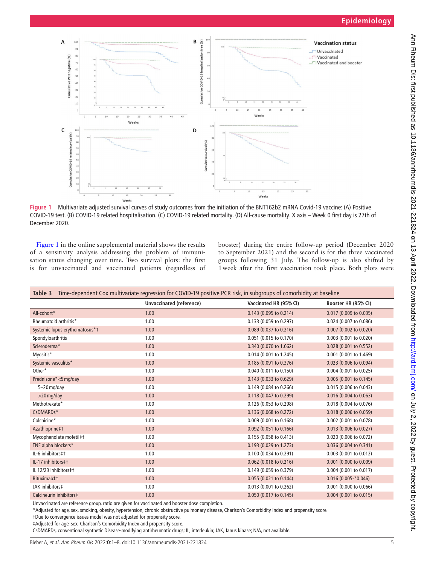

<span id="page-4-0"></span>**Figure 1** Multivariate adjusted survival curves of study outcomes from the initiation of the BNT162b2 mRNA Covid-19 vaccine: (A) Positive COVID-19 test. (B) COVID-19 related hospitalisation. (C) COVID-19 related mortality. (D) All-cause mortality. X axis – Week 0 first day is 27th of December 2020.

[Figure](#page-4-0) 1 in the [online supplemental material](https://dx.doi.org/10.1136/annrheumdis-2021-221824) shows the results of a sensitivity analysis addressing the problem of immunisation status changing over time. Two survival plots: the first is for unvaccinated and vaccinated patients (regardless of

booster) during the entire follow-up period (December 2020 to September 2021) and the second is for the three vaccinated groups following 31 July. The follow-up is also shifted by 1week after the first vaccination took place. Both plots were

<span id="page-4-1"></span>

| Time-dependent Cox multivariate regression for COVID-19 positive PCR risk, in subgroups of comorbidity at baseline<br>Table 3 |                                 |                        |                          |  |  |
|-------------------------------------------------------------------------------------------------------------------------------|---------------------------------|------------------------|--------------------------|--|--|
|                                                                                                                               | <b>Unvaccinated (reference)</b> | Vaccinated HR (95% CI) | Booster HR (95% CI)      |  |  |
| All-cohort*                                                                                                                   | 1.00                            | 0.143 (0.095 to 0.214) | 0.017 (0.009 to 0.035)   |  |  |
| Rheumatoid arthritis*                                                                                                         | 1.00                            | 0.133 (0.059 to 0.297) | 0.024 (0.007 to 0.086)   |  |  |
| Systemic lupus erythematosus*t                                                                                                | 1.00                            | 0.089 (0.037 to 0.216) | 0.007 (0.002 to 0.020)   |  |  |
| Spondyloarthritis                                                                                                             | 1.00                            | 0.051 (0.015 to 0.170) | 0.003 (0.001 to 0.020)   |  |  |
| Scleroderma*                                                                                                                  | 1.00                            | 0.340 (0.070 to 1.662) | 0.028 (0.001 to 0.552)   |  |  |
| Myositis*                                                                                                                     | 1.00                            | 0.014 (0.001 to 1.245) | 0.001 (0.001 to 1.469)   |  |  |
| Systemic vasculitis*                                                                                                          | 1.00                            | 0.185 (0.091 to 0.376) | 0.023 (0.006 to 0.094)   |  |  |
| Other*                                                                                                                        | 1.00                            | 0.040 (0.011 to 0.150) | $0.004$ (0.001 to 0.025) |  |  |
| Prednisone*<5 mg/day                                                                                                          | 1.00                            | 0.143 (0.033 to 0.629) | 0.005 (0.001 to 0.145)   |  |  |
| $5 - 20$ mg/day                                                                                                               | 1.00                            | 0.149 (0.084 to 0.266) | 0.015 (0.006 to 0.043)   |  |  |
| $>$ 20 mg/day                                                                                                                 | 1.00                            | 0.118 (0.047 to 0.299) | 0.016 (0.004 to 0.063)   |  |  |
| Methotrexate*                                                                                                                 | 1.00                            | 0.126 (0.053 to 0.298) | 0.018 (0.004 to 0.076)   |  |  |
| CsDMARDs*                                                                                                                     | 1.00                            | 0.136 (0.068 to 0.272) | 0.018 (0.006 to 0.059)   |  |  |
| Colchicine*                                                                                                                   | 1.00                            | 0.009 (0.001 to 0.168) | 0.002 (0.001 to 0.078)   |  |  |
| Azathioprine‡†                                                                                                                | 1.00                            | 0.092 (0.051 to 0.166) | $0.013$ (0.006 to 0.027) |  |  |
| Mycophenolate mofetil‡†                                                                                                       | 1.00                            | 0.155 (0.058 to 0.413) | 0.020 (0.006 to 0.072)   |  |  |
| TNF alpha blockers*                                                                                                           | 1.00                            | 0.193 (0.029 to 1.273) | 0.036 (0.004 to 0.341)   |  |  |
| IL-6 inhibitors#t                                                                                                             | 1.00                            | 0.100 (0.034 to 0.291) | $0.003$ (0.001 to 0.012) |  |  |
| IL-17 inhibitors#1                                                                                                            | 1.00                            | 0.062 (0.018 to 0.216) | 0.001 (0.000 to 0.009)   |  |  |
| IL 12/23 inhibitors#1                                                                                                         | 1.00                            | 0.149 (0.059 to 0.379) | 0.004 (0.001 to 0.017)   |  |  |
| Rituximab‡†                                                                                                                   | 1.00                            | 0.055 (0.021 to 0.144) | $0.016(0.005 - *0.046)$  |  |  |
| JAK inhibitors‡                                                                                                               | 1.00                            | 0.013 (0.001 to 0.262) | 0.001 (0.000 to 0.066)   |  |  |
| Calcineurin inhibitors‡                                                                                                       | 1.00                            | 0.050 (0.017 to 0.145) | 0.004 (0.001 to 0.015)   |  |  |

Unvaccinated are reference group, ratio are given for vaccinated and booster dose completion.

\*Adjusted for age, sex, smoking, obesity, hypertension, chronic obstructive pulmonary disease, Charlson's Comorbidity Index and propensity score.

†Due to convergence issues model was not adjusted for propensity score.

‡Adjusted for age, sex, Charlson's Comorbidity Index and propensity score.

CsDMARDs, conventional synthetic Disease-modifying antirheumatic drugs; IL, interleukin; JAK, Janus kinase; N/A, not available.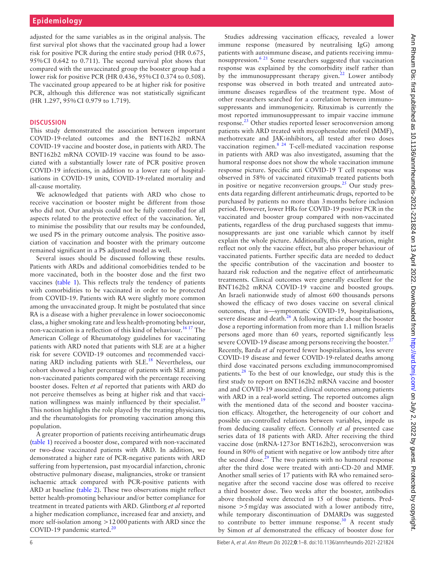adjusted for the same variables as in the original analysis. The first survival plot shows that the vaccinated group had a lower risk for positive PCR during the entire study period (HR 0.675, 95%CI 0.642 to 0.711). The second survival plot shows that compared with the unvaccinated group the booster group had a lower risk for positive PCR (HR 0.436, 95%CI 0.374 to 0.508). The vaccinated group appeared to be at higher risk for positive PCR, although this difference was not statistically significant (HR 1.297, 95%CI 0.979 to 1.719).

## **DISCUSSION**

This study demonstrated the association between important COVID-19-related outcomes and the BNT162b2 mRNA COVID-19 vaccine and booster dose, in patients with ARD. The BNT162b2 mRNA COVID-19 vaccine was found to be associated with a substantially lower rate of PCR positive proven COVID-19 infections, in addition to a lower rate of hospitalisations in COVID-19 units, COVID-19-related mortality and all-cause mortality.

We acknowledged that patients with ARD who chose to receive vaccination or booster might be different from those who did not. Our analysis could not be fully controlled for all aspects related to the protective effect of the vaccination. Yet, to minimise the possibility that our results may be confounded, we used PS in the primary outcome analysis. The positive association of vaccination and booster with the primary outcome remained significant in a PS adjusted model as well.

Several issues should be discussed following these results. Patients with ARDs and additional comorbidities tended to be more vaccinated, both in the booster dose and the first two vaccines ([table](#page-2-0) 1). This reflects truly the tendency of patients with comorbidities to be vaccinated in order to be protected from COVID-19. Patients with RA were slightly more common among the unvaccinated group. It might be postulated that since RA is a disease with a higher prevalence in lower socioeconomic class, a higher smoking rate and less health-promoting behaviour, non-vaccination is a reflection of this kind of behaviour.<sup>16 17</sup> The American College of Rheumatology guidelines for vaccinating patients with ARD noted that patients with SLE are at a higher risk for severe COVID-19 outcomes and recommended vaccinating ARD including patients with SLE.<sup>18</sup> Nevertheless, our cohort showed a higher percentage of patients with SLE among non-vaccinated patients compared with the percentage receiving booster doses. Felten *et al* reported that patients with ARD do not perceive themselves as being at higher risk and that vacci-nation willingness was mainly influenced by their specialist.<sup>[19](#page-7-9)</sup> This notion highlights the role played by the treating physicians, and the rheumatologists for promoting vaccination among this population.

A greater proportion of patients receiving antirheumatic drugs ([table](#page-2-0) 1) received a booster dose, compared with non-vaccinated or two-dose vaccinated patients with ARD. In addition, we demonstrated a higher rate of PCR-negative patients with ARD suffering from hypertension, past myocardial infarction, chronic obstructive pulmonary disease, malignancies, stroke or transient ischaemic attack compared with PCR-positive patients with ARD at baseline [\(table](#page-3-0) 2). These two observations might reflect better health-promoting behaviour and/or better compliance for treatment in treated patients with ARD. Glintborg *et al* reported a higher medication compliance, increased fear and anxiety, and more self-isolation among  $>12000$  patients with ARD since the COVID-19 pandemic started.<sup>[20](#page-7-10)</sup>

Studies addressing vaccination efficacy, revealed a lower immune response (measured by neutralising IgG) among patients with autoimmune disease, and patients receiving immunosuppression.<sup>6 21</sup> Some researchers suggested that vaccination response was explained by the comorbidity itself rather than by the immunosuppressant therapy given.<sup>[22](#page-7-11)</sup> Lower antibody response was observed in both treated and untreated autoimmune diseases regardless of the treatment type. Most of other researchers searched for a correlation between immunosuppressants and immunogenicity. Rituximab is currently the most reported immunosuppressant to impair vaccine immune response.<sup>[23](#page-7-12)</sup> Other studies reported lesser seroconversion among patients with ARD treated with mycophenolate mofetil (MMF), methotrexate and JAK-inhibitors, all tested after two doses vaccination regimen.[8 24](#page-7-0) T-cell-mediated vaccination response in patients with ARD was also investigated, assuming that the humoral response does not show the whole vaccination immune response picture. Specific anti COVID-19 T cell response was observed in 58% of vaccinated rituximab treated patients both in positive or negative reconversion groups. $^{25}$  $^{25}$  $^{25}$  Our study presents data regarding different antirheumatic drugs, reported to be purchased by patients no more than 3months before inclusion period. However, lower HRs for COVID-19 positive PCR in the vaccinated and booster group compared with non-vaccinated patients, regardless of the drug purchased suggests that immunosuppressants are just one variable which cannot by itself explain the whole picture. Additionally, this observation, might reflect not only the vaccine effect, but also proper behaviour of vaccinated patients. Further specific data are needed to deduct the specific contribution of the vaccination and booster to hazard risk reduction and the negative effect of antirheumatic treatments. Clinical outcomes were generally excellent for the BNT162b2 mRNA COVID-19 vaccine and boosted groups. An Israeli nationwide study of almost 600 thousands persons showed the efficacy of two doses vaccine on several clinical outcomes, that is—symptomatic COVID-19, hospitalisations, severe disease and death.<sup>[26](#page-7-14)</sup> A following article about the booster dose a reporting information from more than 1.1 million Israelis persons aged more than 60 years, reported significantly less severe COVID-19 disease among persons receiving the booster.<sup>[27](#page-7-15)</sup> Recently, Barda *et al* reported fewer hospitalisations, less severe COVID-19 disease and fewer COVID-19-related deaths among third dose vaccinated persons excluding immunocompromised patients.[28](#page-7-16) To the best of our knowledge, our study this is the first study to report on BNT162b2 mRNA vaccine and booster and and COVID-19 associated clinical outcomes among patients with ARD in a real-world setting. The reported outcomes align with the mentioned data of the second and booster vaccination efficacy. Altogether, the heterogeneity of our cohort and possible un-controlled relations between variables, impede us from deducing causality effect. Connolly *et al* presented case series data of 18 patients with ARD. After receiving the third vaccine dose (mRNA-1273or BNT162b2), seroconversion was found in 80% of patient with negative or low antibody titre after the second dose.<sup>[29](#page-7-17)</sup> The two patients with no humoral response after the third dose were treated with anti-CD-20 and MMF. Another small series of 17 patients with RA who remained seronegative after the second vaccine dose was offered to receive a third booster dose. Two weeks after the booster, antibodies above threshold were detected in 15 of those patients. Prednisone >5mg/day was associated with a lower antibody titre, while temporary discontinuation of DMARDs was suggested to contribute to better immune response.<sup>[30](#page-7-18)</sup> A recent study by Simon *et al* demonstrated the efficacy of booster dose for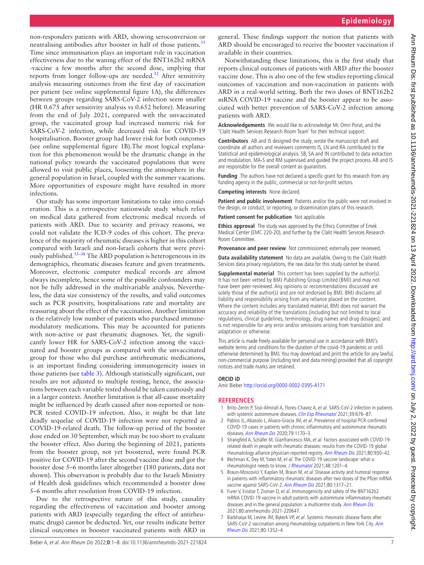non-responders patients with ARD, showing seroconversion or neutralising antibodies after booster in half of those patients.<sup>[31](#page-7-19)</sup> Time since immunisation plays an important role in vaccination effectiveness due to the waning effect of the BNT162b2 mRNA -vaccine a few months after the second dose, implying that reports from longer follow-ups are needed. $32$  After sensitivity analysis measuring outcomes from the first day of vaccination per patient (see [online supplemental figure 1A](https://dx.doi.org/10.1136/annrheumdis-2021-221824)), the differences between groups regarding SARS-CoV-2 infection seem smaller (HR 0.675 after sensitivity analysis vs 0.652 before). Measuring from the end of July 2021, compared with the unvaccinated group, the vaccinated group had increased numeric risk for SARS-CoV-2 infection, while decreased risk for COVID-19 hospitalisation. Booster group had lower risk for both outcomes (see [online supplemental figure 1B\)](https://dx.doi.org/10.1136/annrheumdis-2021-221824).The most logical explanation for this phenomenon would be the dramatic change in the national policy towards the vaccinated populations that were allowed to visit public places, loosening the atmosphere in the general population in Israel, coupled with the summer vacations. More opportunities of exposure might have resulted in more infections.

Our study has some important limitations to take into consideration. This is a retrospective nationwide study which relies on medical data gathered from electronic medical records of patients with ARD. Due to security and privacy reasons, we could not validate the ICD-9 codes of this cohort. The prevalence of the majority of rheumatic diseases is higher in this cohort compared with Israeli and non-Israeli cohorts that were previously published.<sup>33-38</sup> The ARD population is heterogeneous in its demographics, rheumatic diseases feature and given treatments. Moreover, electronic computer medical records are almost always incomplete, hence some of the possible confounders may not be fully addressed in the multivariable analysis. Nevertheless, the data size consistency of the results, and valid outcomes such as PCR positivity, hospitalisations rate and mortality are reassuring about the effect of the vaccination. Another limitation is the relatively low number of patients who purchased immunemodulatory medications. This may be accounted for patients with non-active or past rheumatic diagnoses. Yet, the significantly lower HR for SARS-CoV-2 infection among the vaccinated and booster groups as compared with the unvaccinated group for those who did purchase antirheumatic medications, is an important finding considering immunogenicity issues in those patients (see [table](#page-4-1) 3). Although statistically significant, our results are not adjusted to multiple testing, hence, the associations between each variable tested should be taken cautiously and in a larger context. Another limitation is that all-cause mortality might be influenced by death caused after non-reported or non-PCR tested COVID-19 infection. Also, it might be that late deadly sequelae of COVID-19 infection were not reported as COVID-19-related death. The follow-up period of the booster dose ended on 30 September, which may be too short to evaluate the booster effect. Also during the beginning of 2021, patients from the booster group, not yet boostered, were found PCR positive for COVID-19 after the second vaccine dose and got the booster dose 5–6 months later altogether (180 patients, data not shown). This observation is probably due to the Israeli Ministry of Health desk guidelines which recommended a booster dose 5–6 months after resolution from COVID-19 infection.

Due to the retrospective nature of this study, causality regarding the effectiveness of vaccination and booster among patients with ARD (especially regarding the effect of antirheumatic drugs) cannot be deducted. Yet, our results indicate better clinical outcomes in booster vaccinated patients with ARD in

Notwithstanding these limitations, this is the first study that reports clinical outcomes of patients with ARD after the booster vaccine dose. This is also one of the few studies reporting clinical outcomes of vaccination and non-vaccination in patients with ARD in a real-world setting. Both the two doses of BNT162b2 mRNA COVID-19 vaccine and the booster appear to be associated with better prevention of SARS-CoV-2 infection among patients with ARD.

**Acknowledgements** We would like to acknowledge Mr. Omri Porat, and the 'Clalit Health Services Research Room Team' for their technical support.

**Contributors** AB and IS designed the study, wrote the manuscript draft and coordinate all authors and reviewers comments IS, LN and RA contributed to the Statistical and epidemiological analysis. SB, SA and IN contributed to data extraction and modulation. MA-S and RM supervised and guided the project process. AB and IS are responsible for the overall content as guarantors.

**Funding** The authors have not declared a specific grant for this research from any funding agency in the public, commercial or not-for-profit sectors.

**Competing interests** None declared.

Patient and public involvement Patients and/or the public were not involved in the design, or conduct, or reporting, or dissemination plans of this research.

**Patient consent for publication** Not applicable.

**Ethics approval** The study was approved by the Ethics Committee of Emek Medical Center (EMC 220-20), and further by the Clalit Health Services Research Room Committee.

**Provenance and peer review** Not commissioned; externally peer reviewed.

**Data availability statement** No data are available. Owing to the Clalit Health Services data privacy regulations, the raw data for this study cannot be shared.

**Supplemental material** This content has been supplied by the author(s). It has not been vetted by BMJ Publishing Group Limited (BMJ) and may not have been peer-reviewed. Any opinions or recommendations discussed are solely those of the author(s) and are not endorsed by BMJ. BMJ disclaims all liability and responsibility arising from any reliance placed on the content. Where the content includes any translated material, BMJ does not warrant the accuracy and reliability of the translations (including but not limited to local regulations, clinical guidelines, terminology, drug names and drug dosages), and is not responsible for any error and/or omissions arising from translation and adaptation or otherwise.

This article is made freely available for personal use in accordance with BMJ's website terms and conditions for the duration of the covid-19 pandemic or until otherwise determined by BMJ. You may download and print the article for any lawful, non-commercial purpose (including text and data mining) provided that all copyright notices and trade marks are retained.

#### **ORCID iD**

Amir Bieber <http://orcid.org/0000-0002-0395-4171>

#### **REFERENCES**

- <span id="page-6-0"></span>1 Brito-Zerón P, Sisó-Almirall A, Flores-Chavez A, et al. SARS-CoV-2 infection in patients with systemic autoimmune diseases. [Clin Exp Rheumatol](http://www.ncbi.nlm.nih.gov/pubmed/34001305) 2021;39:676-87.
- 2 Pablos JL, Abasolo L, Alvaro-Gracia JM, et al. Prevalence of hospital PCR-confirmed COVID-19 cases in patients with chronic inflammatory and autoimmune rheumatic diseases. [Ann Rheum Dis](http://dx.doi.org/10.1136/annrheumdis-2020-217763) 2020;79:1170–3.
- 3 Strangfeld A, Schäfer M, Gianfrancesco MA, et al. Factors associated with COVID-19 related death in people with rheumatic diseases: results from the COVID-19 global rheumatology alliance physician-reported registry. [Ann Rheum Dis](http://dx.doi.org/10.1136/annrheumdis-2020-219498) 2021;80:930–42.
- <span id="page-6-1"></span>4 Bechman K, Dey M, Yates M, et al. The COVID-19 vaccine landscape: what a rheumatologist needs to know. [J Rheumatol](http://dx.doi.org/10.3899/jrheum.210106) 2021;48:1201–4.
- <span id="page-6-2"></span>5 Braun-Moscovici Y, Kaplan M, Braun M, et al. Disease activity and humoral response in patients with inflammatory rheumatic diseases after two doses of the Pfizer mRNA vaccine against SARS-CoV-2. [Ann Rheum Dis](http://dx.doi.org/10.1136/annrheumdis-2021-220503) 2021;80:1317–21.
- <span id="page-6-4"></span>6 Furer V, Eviatar T, Zisman D, et al. Immunogenicity and safety of the BNT162b2 mRNA COVID-19 vaccine in adult patients with autoimmune inflammatory rheumatic diseases and in the general population: a multicentre study. [Ann Rheum Dis](http://dx.doi.org/10.1136/annrheumdis-2021-220647) 2021;80:annrheumdis-2021-220647.
- <span id="page-6-3"></span>7 Barbhaiya M, Levine JM, Bykerk VP, et al. Systemic rheumatic disease flares after SARS-CoV-2 vaccination among rheumatology outpatients in New York City. Ann [Rheum Dis](http://dx.doi.org/10.1136/annrheumdis-2021-220732) 2021;80:1352–4.